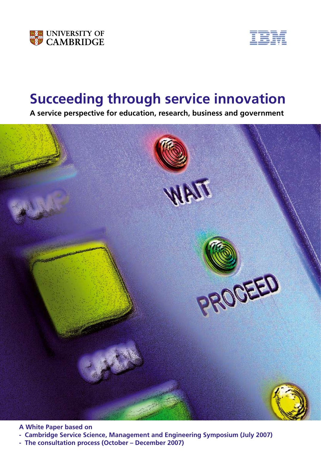



# **Succeeding through service innovation**

**A service perspective for education, research, business and government**



**A White Paper based on** 

- **Cambridge Service Science, Management and Engineering Symposium (July 2007)**
- **The consultation process (October December 2007)**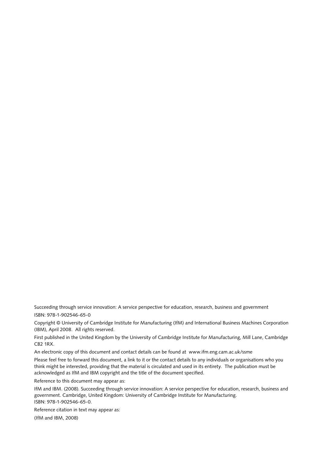Succeeding through service innovation: A service perspective for education, research, business and government ISBN: 978-1-902546-65-0

Copyright © University of Cambridge Institute for Manufacturing (IfM) and International Business Machines Corporation (IBM), April 2008. All rights reserved.

First published in the United Kingdom by the University of Cambridge Institute for Manufacturing, Mill Lane, Cambridge CB2 1RX.

An electronic copy of this document and contact details can be found at www.ifm.eng.cam.ac.uk/ssme

Please feel free to forward this document, a link to it or the contact details to any individuals or organisations who you think might be interested, providing that the material is circulated and used in its entirety. The publication must be acknowledged as IfM and IBM copyright and the title of the document specified.

Reference to this document may appear as:

IfM and IBM. (2008). Succeeding through service innovation: A service perspective for education, research, business and government. Cambridge, United Kingdom: University of Cambridge Institute for Manufacturing. ISBN: 978-1-902546-65-0.

Reference citation in text may appear as:

(IfM and IBM, 2008)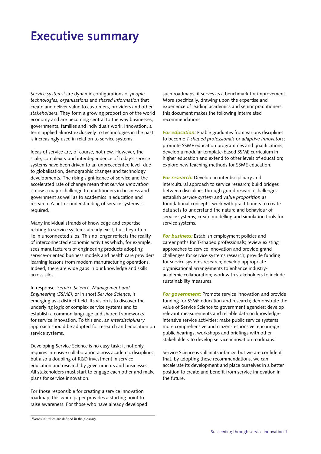# **Executive summary**

*Service systems*<sup>1</sup> are dynamic configurations of *people, technologies, organisations* and *shared information* that create and deliver value to customers, providers and other *stakeholders*. They form a growing proportion of the world economy and are becoming central to the way businesses, governments, families and individuals work. Innovation, a term applied almost exclusively to technologies in the past, is increasingly used in relation to service systems.

Ideas of service are, of course, not new. However, the scale, complexity and interdependence of today's service systems have been driven to an unprecedented level, due to globalisation, demographic changes and technology developments. The rising significance of service and the accelerated rate of change mean that *service innovation* is now a major challenge to practitioners in business and government as well as to academics in education and research. A better understanding of service systems is required.

Many individual strands of knowledge and expertise relating to service systems already exist, but they often lie in unconnected silos. This no longer reflects the reality of interconnected economic activities which, for example, sees manufacturers of engineering products adopting service-oriented business models and health care providers learning lessons from modern manufacturing operations. Indeed, there are wide gaps in our knowledge and skills across silos.

In response, *Service Science*, *Management and Engineering (SSME)*, or in short *Service Science*, is emerging as a distinct field. Its vision is to discover the underlying logic of complex service systems and to establish a common language and shared frameworks for service innovation. To this end, an *interdisciplinary* approach should be adopted for research and education on service systems.

Developing Service Science is no easy task; it not only requires intensive collaboration across academic disciplines but also a doubling of R&D investment in service education and research by governments and businesses. All stakeholders must start to engage each other and make plans for service innovation.

For those responsible for creating a service innovation roadmap, this white paper provides a starting point to raise awareness. For those who have already developed such roadmaps, it serves as a benchmark for improvement. More specifically, drawing upon the expertise and experience of leading academics and senior practitioners, this document makes the following interrelated recommendations:

*For education:* Enable graduates from various disciplines to become *T-shaped professionals* or *adaptive innovators*; promote SSME education programmes and qualifications; develop a modular template-based SSME curriculum in higher education and extend to other levels of education; explore new teaching methods for SSME education.

*For research:* Develop an interdisciplinary and intercultural approach to service research; build bridges between disciplines through grand research challenges; establish *service system* and *value proposition* as foundational concepts; work with practitioners to create data sets to understand the nature and behaviour of service systems; create modelling and simulation tools for service systems.

*For business:* Establish employment policies and career paths for T-shaped professionals; review existing approaches to service innovation and provide grand challenges for service systems research; provide funding for service systems research; develop appropriate organisational arrangements to enhance industryacademic collaboration; work with stakeholders to include sustainability measures.

*For government:* Promote service innovation and provide funding for SSME education and research; demonstrate the value of Service Science to government agencies; develop relevant measurements and reliable data on knowledgeintensive service activities; make public service systems more comprehensive and citizen-responsive; encourage public hearings, workshops and briefings with other stakeholders to develop service innovation roadmaps.

Service Science is still in its infancy; but we are confident that, by adopting these recommendations, we can accelerate its development and place ourselves in a better position to create and benefit from service innovation in the future.

<sup>&</sup>lt;sup>1</sup> Words in italics are defined in the glossary.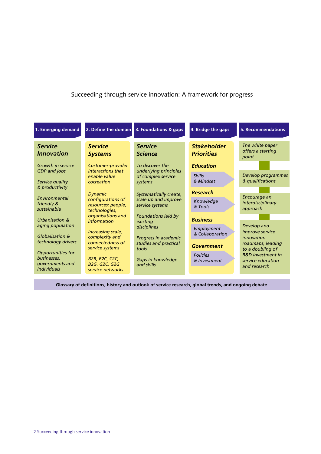# Succeeding through service innovation: A framework for progress

| 1. Emerging demand                                                 | 2. Define the domain                                       | 3. Foundations & gaps                                  | 4. Bridge the gaps                      | 5. Recommendations                                                |
|--------------------------------------------------------------------|------------------------------------------------------------|--------------------------------------------------------|-----------------------------------------|-------------------------------------------------------------------|
| <b>Service</b><br><i><b>Innovation</b></i>                         | <b>Service</b><br><b>Systems</b>                           | <b>Service</b><br>Science                              | <b>Stakeholder</b><br><b>Priorities</b> | The white paper<br>offers a starting<br>point                     |
| <b>Growth in service</b>                                           | Customer-provider                                          | To discover the                                        | <b>Education</b>                        |                                                                   |
| <b>GDP</b> and jobs<br>Service quality<br>& productivity           | interactions that<br>enable value<br>cocreation            | underlying principles<br>of complex service<br>systems | Skills<br>& Mindset                     | Develop programmes<br>& qualifications                            |
| <b><i><u>Environmental</u></i></b>                                 | <b>Dynamic</b>                                             | Systematically create,                                 | <b>Research</b>                         | Encourage an                                                      |
| friendly &<br>sustainable                                          | configurations of<br>resources: people,<br>technologies,   | scale up and improve<br>service systems                | Knowledge<br>& Tools                    | interdisciplinary<br>approach                                     |
| Urbanisation &                                                     | organisations and<br>information                           | <b>Foundations laid by</b><br>existing                 | <b>Business</b>                         |                                                                   |
| aging population                                                   | Increasing scale,                                          | disciplines                                            | Employment<br>& Collaboration           | Develop and<br><i>improve service</i>                             |
| Globalisation &<br>technology drivers                              | complexity and                                             | Progress in academic                                   |                                         | innovation                                                        |
|                                                                    | connectedness of<br>service systems                        | studies and practical<br>tools                         | Government                              | roadmaps, leading<br>to a doubling of                             |
| Opportunities for<br>businesses.<br>governments and<br>individuals | B2B, B2C, C2C,<br><b>B2G, G2C, G2G</b><br>service networks | Gaps in knowledge<br>and skills                        | <b>Policies</b><br>& Investment         | <b>R&amp;D</b> investment in<br>service education<br>and research |

**Glossary of definitions, history and outlook of service research, global trends, and ongoing debate**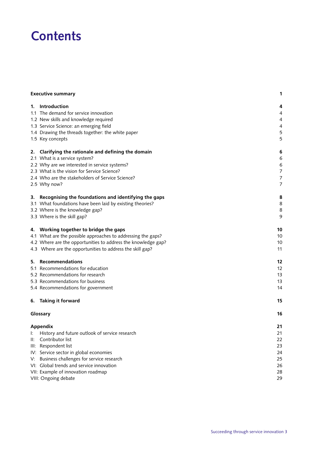# **Contents**

|          | <b>Executive summary</b>                                      | 1  |
|----------|---------------------------------------------------------------|----|
|          | 1. Introduction                                               | 4  |
|          | 1.1 The demand for service innovation                         | 4  |
|          | 1.2 New skills and knowledge required                         | 4  |
|          | 1.3 Service Science: an emerging field                        | 4  |
|          | 1.4 Drawing the threads together: the white paper             | 5  |
|          | 1.5 Key concepts                                              | 5  |
|          | 2. Clarifying the rationale and defining the domain           | 6  |
|          | 2.1 What is a service system?                                 | 6  |
|          | 2.2 Why are we interested in service systems?                 | 6  |
|          | 2.3 What is the vision for Service Science?                   | 7  |
|          | 2.4 Who are the stakeholders of Service Science?              | 7  |
|          | 2.5 Why now?                                                  | 7  |
|          | 3. Recognising the foundations and identifying the gaps       | 8  |
|          | 3.1 What foundations have been laid by existing theories?     | 8  |
|          | 3.2 Where is the knowledge gap?                               | 8  |
|          | 3.3 Where is the skill gap?                                   | 9  |
|          | 4. Working together to bridge the gaps                        | 10 |
|          | 4.1 What are the possible approaches to addressing the gaps?  | 10 |
|          | 4.2 Where are the opportunities to address the knowledge gap? | 10 |
|          | 4.3 Where are the opportunities to address the skill gap?     | 11 |
|          | 5. Recommendations                                            | 12 |
|          | 5.1 Recommendations for education                             | 12 |
|          | 5.2 Recommendations for research                              | 13 |
|          | 5.3 Recommendations for business                              | 13 |
|          | 5.4 Recommendations for government                            | 14 |
|          | 6. Taking it forward                                          | 15 |
| Glossary |                                                               | 16 |
|          | Appendix                                                      | 21 |
|          | I: History and future outlook of service research             | 21 |
|          | II: Contributor list                                          | 22 |
|          | III: Respondent list                                          | 23 |
|          | IV: Service sector in global economies                        | 24 |
|          | V: Business challenges for service research                   | 25 |
|          | VI: Global trends and service innovation                      | 26 |
|          | VII: Example of innovation roadmap                            | 28 |
|          | VIII: Ongoing debate                                          | 29 |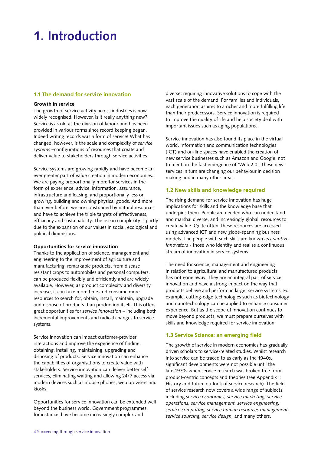# **1. Introduction**

### **1.1 The demand for service innovation**

#### **Growth in service**

The growth of service activity across industries is now widely recognised. However, is it really anything new? Service is as old as the division of labour and has been provided in various forms since record keeping began. Indeed writing records was a form of service! What has changed, however, is the scale and complexity of *service system*s –configurations of resources that create and deliver value to stakeholders through service activities.

Service systems are growing rapidly and have become an ever greater part of value creation in modern economies. We are paying proportionally more for services in the form of experience, advice, information, assurance, infrastructure and leasing, and proportionally less on growing, building and owning physical goods. And more than ever before, we are constrained by natural resources and have to achieve the triple targets of effectiveness, efficiency and sustainability. The rise in complexity is partly due to the expansion of our values in social, ecological and political dimensions.

#### **Opportunities for service innovation**

Thanks to the application of science, management and engineering to the improvement of agriculture and manufacturing, remarkable products, from disease resistant crops to automobiles and personal computers, can be produced flexibly and efficiently and are widely available. However, as product complexity and diversity increase, it can take more time and consume more resources to search for, obtain, install, maintain, upgrade and dispose of products than production itself. This offers great opportunities for *service innovation* – including both incremental improvements and radical changes to service systems.

Service innovation can impact customer-provider interactions and improve the experience of finding, obtaining, installing, maintaining, upgrading and disposing of products. Service innovation can enhance the capabilities of organisations to create value with stakeholders. Service innovation can deliver better self services, eliminating waiting and allowing 24/7 access via modern devices such as mobile phones, web browsers and kiosks.

Opportunities for service innovation can be extended well beyond the business world. Government programmes, for instance, have become increasingly complex and

diverse, requiring innovative solutions to cope with the vast scale of the demand. For families and individuals, each generation aspires to a richer and more fulfilling life than their predecessors. Service innovation is required to improve the quality of life and help society deal with important issues such as aging populations.

Service innovation has also found its place in the virtual world. Information and communication technologies (ICT) and on-line spaces have enabled the creation of new service businesses such as Amazon and Google, not to mention the fast emergence of 'Web 2.0'. These new services in turn are changing our behaviour in decision making and in many other areas.

### **1.2 New skills and knowledge required**

The rising demand for service innovation has huge implications for skills and the knowledge base that underpins them. People are needed who can understand and marshal diverse, and increasingly global, resources to create value. Quite often, these resources are accessed using advanced ICT and new globe-spanning business models. The people with such skills are known as *adaptive innovators* - those who identify and realise a continuous stream of innovation in service systems.

The need for science, management and engineering in relation to agricultural and manufactured products has not gone away. They are an integral part of service innovation and have a strong impact on the way that products behave and perform in larger service systems. For example, cutting-edge technologies such as biotechnology and nanotechnology can be applied to enhance consumer experience. But as the scope of innovation continues to move beyond products, we must prepare ourselves with skills and knowledge required for service innovation.

#### **1.3 Service Science: an emerging field**

The growth of service in modern economies has gradually driven scholars to service-related studies. Whilst research into service can be traced to as early as the 1940s, significant developments were not possible until the late 1970s when service research was broken free from product-centric concepts and theories (see Appendix I: History and future outlook of service research). The field of service research now covers a wide range of subjects, including *service economics, service marketing, service operations, service management, service engineering, service computing, service human resources management, service sourcing, service design,* and many others.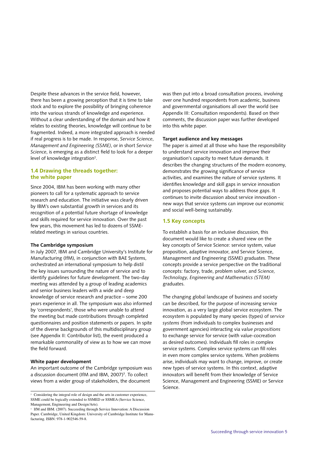Despite these advances in the service field, however, there has been a growing perception that it is time to take stock and to explore the possibility of bringing coherence into the various strands of knowledge and experience. Without a clear understanding of the domain and how it relates to existing theories, knowledge will continue to be fragmented. Indeed, a more integrated approach is needed if real progress is to be made. In response, *Service Science*, *Management and Engineering (SSME)*, or in short *Service Science*, is emerging as a distinct field to look for a deeper level of knowledge integration<sup>2</sup>.

### **1.4 Drawing the threads together: the white paper**

Since 2004, IBM has been working with many other pioneers to call for a systematic approach to service research and education. The initiative was clearly driven by IBM's own substantial growth in services and its recognition of a potential future shortage of knowledge and skills required for service innovation. Over the past few years, this movement has led to dozens of SSMErelated meetings in various countries.

#### **The Cambridge symposium**

In July 2007, IBM and Cambridge University's Institute for Manufacturing (IfM), in conjunction with BAE Systems, orchestrated an international symposium to help distil the key issues surrounding the nature of service and to identify guidelines for future development. The two-day meeting was attended by a group of leading academics and senior business leaders with a wide and deep knowledge of service research and practice – some 200 years experience in all. The symposium was also informed by 'correspondents', those who were unable to attend the meeting but made contributions through completed questionnaires and position statements or papers. In spite of the diverse backgrounds of this multidisciplinary group (see Appendix II: Contributor list), the event produced a remarkable commonality of view as to how we can move the field forward.

### **White paper development**

An important outcome of the Cambridge symposium was a discussion document (IfM and IBM, 2007)<sup>3</sup>. To collect views from a wider group of stakeholders, the document

was then put into a broad consultation process, involving over one hundred respondents from academic, business and governmental organisations all over the world (see Appendix III: Consultation respondents). Based on their comments, the discussion paper was further developed into this white paper.

#### **Target audience and key messages**

The paper is aimed at all those who have the responsibility to understand service innovation and improve their organisation's capacity to meet future demands. It describes the changing structures of the modern economy, demonstrates the growing significance of service activities, and examines the nature of service systems. It identifies knowledge and skill gaps in service innovation and proposes potential ways to address those gaps. It continues to invite discussion about service innovation new ways that service systems can improve our economic and social well-being sustainably.

# **1.5 Key concepts**

To establish a basis for an inclusive discussion, this document would like to create a shared view on the key concepts of Service Science: service system, value proposition, adaptive innovator, and Service Science, Management and Engineering (SSME) graduates. These concepts provide a service perspective on the traditional concepts: factory, trade, problem solver, and *Science, Technology, Engineering and Mathematics (STEM)* graduates.

The changing global landscape of business and society can be described, for the purpose of increasing service innovation, as a very large global service ecosystem. The ecosystem is populated by many species (types) of *service systems* (from individuals to complex businesses and government agencies) interacting via *value propositions*  to exchange service for service (with value-cocreation as desired outcomes). Individuals fill roles in complex service systems. Complex service systems can fill roles in even more complex service systems. When problems arise, individuals may want to change, improve, or create new types of service systems. In this context, adaptive innovators will benefit from their knowledge of Service Science, Management and Engineering (SSME) or Service Science.

<sup>&</sup>lt;sup>2</sup> Considering the integral role of design and the arts in customer experience, SSME could be logically extended to SSMED or SSMEA (Service Science, Management, Engineering and Design/Arts).

IfM and IBM. (2007). Succeeding through Service Innovation: A Discussion Paper. Cambridge, United Kingdom: University of Cambridge Institute for Manufacturing. ISBN: 978-1-902546-59-8.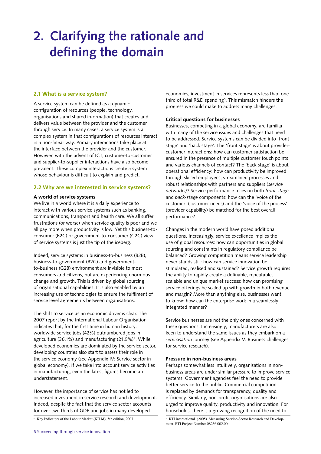# **2. Clarifying the rationale and defining the domain**

### **2.1 What is a service system?**

A service system can be defined as a dynamic configuration of resources (people, technology, organisations and shared information) that creates and delivers value between the provider and the customer through service. In many cases, a service system is a complex system in that configurations of resources interact in a non-linear way. Primary interactions take place at the interface between the provider and the customer. However, with the advent of ICT, customer-to-customer and supplier-to-supplier interactions have also become prevalent. These complex interactions create a system whose behaviour is difficult to explain and predict.

### **2.2 Why are we interested in service systems?**

### **A world of service systems**

We live in a world where it is a daily experience to interact with various service systems such as banking, communications, transport and health care. We all suffer frustrations (or worse) when service quality is poor and we all pay more when productivity is low. Yet this business-toconsumer (B2C) or government-to-consumer (G2C) view of service systems is just the tip of the iceberg.

Indeed, service systems in business-to-business (B2B), business-to-government (B2G) and governmentto-business (G2B) environment are invisible to most consumers and citizens, but are experiencing enormous change and growth. This is driven by global sourcing of organisational capabilities. It is also enabled by an increasing use of technologies to ensure the fulfilment of service level agreements between organisations.

The shift to service as an economic driver is clear. The 2007 report by the International Labour Organisation indicates that, for the first time in human history, worldwide service jobs (42%) outnumbered jobs in agriculture (36.1%) and manufacturing (21.9%)<sup>4</sup>. While developed economies are dominated by the service sector, developing countries also start to assess their role in the service economy (see Appendix IV: Service sector in global economy). If we take into account service activities in manufacturing, even the latest figures become an understatement.

However, the importance of service has not led to increased investment in service research and development. Indeed, despite the fact that the service sector accounts for over two thirds of GDP and jobs in many developed

<sup>4</sup> Key Indicators of the Labour Market (KILM), 5th edition, 2007

economies, investment in services represents less than one third of total R&D spending<sup>5</sup>. This mismatch hinders the progress we could make to address many challenges.

#### **Critical questions for businesses**

Businesses, competing in a global economy, are familiar with many of the service issues and challenges that need to be addressed. Service systems can be divided into 'front stage' and 'back stage'. The 'front stage' is about providercustomer interactions: how can customer satisfaction be ensured in the presence of multiple customer touch points and various channels of contact? The 'back stage' is about operational efficiency: how can productivity be improved through skilled employees, streamlined processes and robust relationships with partners and suppliers (*service networks)*? Service performance relies on both *front-stage* and *back-stage* components: how can the 'voice of the customer' (customer needs) and the 'voice of the process' (provider capability) be matched for the best overall performance?

Changes in the modern world have posed additional questions. Increasingly, service excellence implies the use of global resources: how can opportunities in global sourcing and constraints in regulatory compliance be balanced? Growing competition means service leadership never stands still: how can service innovation be stimulated, realised and sustained? Service growth requires the ability to rapidly create a definable, repeatable, scalable and unique market success: how can promising service offerings be scaled up with growth in both revenue and margin? More than anything else, businesses want to know: how can the enterprise work in a seamlessly integrated manner?

Service businesses are not the only ones concerned with these questions. Increasingly, manufacturers are also keen to understand the same issues as they embark on a *servicisation* journey (see Appendix V: Business challenges for service research).

### **Pressure in non-business areas**

Perhaps somewhat less intuitively, organisations in nonbusiness areas are under similar pressure to improve service systems. Government agencies feel the need to provide better service to the public. Commercial competition is replaced by demands for transparency, quality and efficiency. Similarly, non-profit organisations are also urged to improve quality, productivity and innovation. For households, there is a growing recognition of the need to

<sup>5</sup> RTI international. (2005). Measuring Service-Sector Research and Development. RTI Project Number 08236.002.004.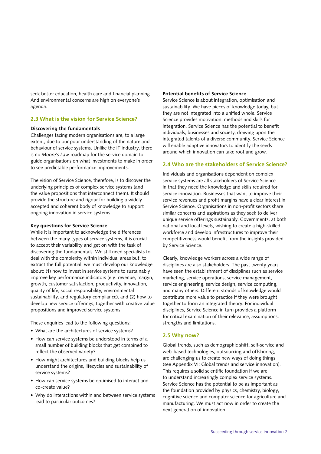seek better education, health care and financial planning. And environmental concerns are high on everyone's agenda.

# **2.3 What is the vision for Service Science?**

#### **Discovering the fundamentals**

Challenges facing modern organisations are, to a large extent, due to our poor understanding of the nature and behaviour of service systems. Unlike the IT industry, there is no *Moore's Law* roadmap for the service domain to guide organisations on what investments to make in order to see predictable performance improvements.

The vision of Service Science, therefore, is to discover the underlying principles of complex service systems (and the value propositions that interconnect them). It should provide the structure and rigour for building a widely accepted and coherent body of knowledge to support ongoing innovation in service systems.

### **Key questions for Service Science**

While it is important to acknowledge the differences between the many types of service systems, it is crucial to accept their variability and get on with the task of discovering the fundamentals. We still need specialists to deal with the complexity within individual areas but, to extract the full potential, we must develop our knowledge about: (1) how to invest in service systems to sustainably improve key performance indicators (e.g. revenue, margin, growth, customer satisfaction, productivity, innovation, quality of life, social responsibility, environmental sustainability, and regulatory compliance), and (2) how to develop new service offerings, together with creative value propositions and improved service systems.

These enquiries lead to the following questions:

- What are the architectures of service systems?
- How can service systems be understood in terms of a small number of building blocks that get combined to reflect the observed variety?
- How might architectures and building blocks help us understand the origins, lifecycles and sustainability of service systems?
- How can service systems be optimised to interact and co-create value?
- Why do interactions within and between service systems lead to particular outcomes?

#### **Potential benefits of Service Science**

Service Science is about integration, optimisation and sustainability. We have pieces of knowledge today, but they are not integrated into a unified whole. Service Science provides motivation, methods and skills for integration. Service Science has the potential to benefit individuals, businesses and society, drawing upon the integrated talents of a diverse community. Service Science will enable adaptive innovators to identify the seeds around which innovation can take root and grow.

# **2.4 Who are the stakeholders of Service Science?**

Individuals and organisations dependent on complex service systems are all stakeholders of Service Science in that they need the knowledge and skills required for service innovation. Businesses that want to improve their service revenues and profit margins have a clear interest in Service Science. Organisations in non-profit sectors share similar concerns and aspirations as they seek to deliver unique service offerings sustainably. Governments, at both national and local levels, wishing to create a high-skilled workforce and develop infrastructures to improve their competitiveness would benefit from the insights provided by Service Science.

Clearly, knowledge workers across a wide range of disciplines are also stakeholders. The past twenty years have seen the establishment of disciplines such as service marketing, service operations, service management, service engineering, service design, service computing, and many others. Different strands of knowledge would contribute more value to practice if they were brought together to form an integrated theory. For individual disciplines, Service Science in turn provides a platform for critical examination of their relevance, assumptions, strengths and limitations.

# **2.5 Why now?**

Global trends, such as demographic shift, self-service and web-based technologies, outsourcing and offshoring, are challenging us to create new ways of doing things (see Appendix VI: Global trends and service innovation). This requires a solid scientific foundation if we are to understand increasingly complex service systems. Service Science has the potential to be as important as the foundation provided by physics, chemistry, biology, cognitive science and computer science for agriculture and manufacturing. We must act now in order to create the next generation of innovation.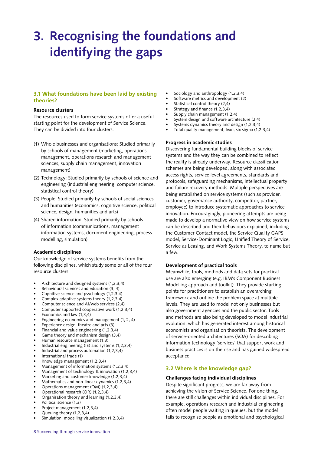# **3. Recognising the foundations and identifying the gaps**

# **3.1 What foundations have been laid by existing theories?**

#### **Resource clusters**

The resources used to form service systems offer a useful starting point for the development of Service Science. They can be divided into four clusters:

- (1) Whole businesses and organisations: Studied primarily by schools of management (marketing, operations management, operations research and management sciences, supply chain management, innovation management)
- (2) Technology: Studied primarily by schools of science and engineering (industrial engineering, computer science, statistical control theory)
- (3) People: Studied primarily by schools of social sciences and humanities (economics, cognitive science, political science, design, humanities and arts)
- (4) Shared information: Studied primarily by schools of information (communications, management information systems, document engineering, process modelling, simulation)

# **Academic disciplines**

Our knowledge of service systems benefits from the following disciplines, which study some or all of the four resource clusters:

- Architecture and designed systems (1,2,3,4)
- Behavioural sciences and education (3, 4)
- Cognitive science and psychology (1,2,3,4)
- Complex adaptive systems theory  $(1,2,3,4)$
- Computer science and AI/web services (2,4)
- Computer supported cooperative work (1,2,3,4)
- Economics and law (1,3,4)
- Engineering economics and management (1, 2, 4)
- Experience design, theatre and arts (3)
- Financial and value engineering (1,2,3,4)
- Game theory and mechanism design (3,4)
- Human resource management (1,3)
- Industrial engineering (IE) and systems (1,2,3,4)
- Industrial and process automation  $(1,2,3,4)$ International trade (1)
- 
- Knowledge management (1,2,3,4) Management of information systems (1,2,3,4)
- Management of technology & innovation  $(1,2,3,4)$
- Marketing and customer knowledge (1,2,3,4)
- Mathematics and non-linear dynamics (1,2,3,4)
- Operations management (OM) (1,2,3,4)
- Operational research (OR) (1,2,3,4)
- Organisation theory and learning (1,2,3,4)
- Political science (1,3)
- Project management (1,2,3,4)
- Queuing theory (1,2,3,4)
- Simulation, modelling visualization (1,2,3,4)
- Sociology and anthropology (1,2,3,4)
- Software metrics and development (2)
- Statistical control theory (2,4)
- Strategy and finance (1,2,3,4)
- Supply chain management (1,2,4)
- System design and software architecture (2,4)
- Systems dynamics theory and design (1,2,3,4) Total quality management, lean, six sigma (1,2,3,4)

#### **Progress in academic studies**

Discovering fundamental building blocks of service systems and the way they can be combined to reflect the reality is already underway. Resource classification schemes are being developed, along with associated access rights, service level agreements, standards and protocols, safeguarding mechanisms, intellectual property and failure recovery methods. Multiple perspectives are being established on service systems (such as provider, customer, governance authority, competitor, partner, employee) to introduce systematic approaches to service innovation. Encouragingly, pioneering attempts are being made to develop a normative view on how service systems can be described and their behaviours explained, including the Customer Contact model, the Service Quality GAPS model, Service-Dominant Logic, Unified Theory of Service, Service as Leasing, and Work Systems Theory, to name but a few.

#### **Development of practical tools**

Meanwhile, tools, methods and data sets for practical use are also emerging (e.g. IBM's Component Business Modelling approach and toolkit). They provide starting points for practitioners to establish an overarching framework and outline the problem space at multiple levels. They are used to model not only businesses but also government agencies and the public sector. Tools and methods are also being developed to model industrial evolution, which has generated interest among historical economists and organisation theorists. The development of service-oriented architectures (SOA) for describing information technology 'services' that support work and business practices is on the rise and has gained widespread acceptance.

# **3.2 Where is the knowledge gap?**

#### **Challenges facing individual disciplines**

Despite significant progress, we are far away from achieving the vision of Service Science. For one thing, there are still challenges within individual disciplines. For example, operations research and industrial engineering often model people waiting in queues, but the model fails to recognise people as emotional and psychological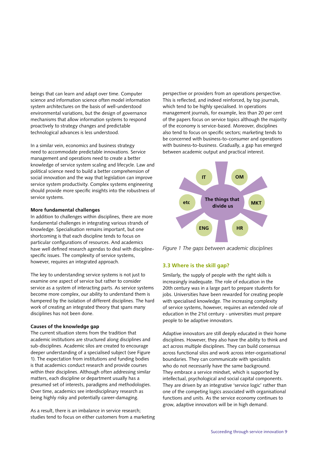beings that can learn and adapt over time. Computer science and information science often model information system architectures on the basis of well-understood environmental variations, but the design of governance mechanisms that allow information systems to respond proactively to strategy changes and predictable technological advances is less understood.

In a similar vein, economics and business strategy need to accommodate predictable innovations. Service management and operations need to create a better knowledge of service system scaling and lifecycle. Law and political science need to build a better comprehension of social innovation and the way that legislation can improve service system productivity. Complex systems engineering should provide more specific insights into the robustness of service systems.

#### **More fundamental challenges**

In addition to challenges within disciplines, there are more fundamental challenges in integrating various strands of knowledge. Specialisation remains important, but one shortcoming is that each discipline tends to focus on particular configurations of resources. And academics have well defined research agendas to deal with disciplinespecific issues. The complexity of service systems, however, requires an integrated approach.

The key to understanding service systems is not just to examine one aspect of service but rather to consider service as a system of interacting parts. As service systems become more complex, our ability to understand them is hampered by the isolation of different disciplines. The hard work of creating an integrated theory that spans many disciplines has not been done.

#### **Causes of the knowledge gap**

The current situation stems from the tradition that academic institutions are structured along disciplines and sub-disciplines. Academic silos are created to encourage deeper understanding of a specialised subject (see Figure 1). The expectation from institutions and funding bodies is that academics conduct research and provide courses within their disciplines. Although often addressing similar matters, each discipline or department usually has a presumed set of interests, paradigms and methodologies. Over time, academics see interdisciplinary research as being highly risky and potentially career-damaging.

As a result, there is an imbalance in service research; studies tend to focus on either customers from a marketing perspective or providers from an operations perspective. This is reflected, and indeed reinforced, by top journals, which tend to be highly specialised. In operations management journals, for example, less than 20 per cent of the papers focus on service topics although the majority of the economy is service-based. Moreover, disciplines also tend to focus on specific sectors; marketing tends to be concerned with business-to-consumer and operations with business-to-business. Gradually, a gap has emerged between academic output and practical interest.



*Figure 1 The gaps between academic disciplines*

### **3.3 Where is the skill gap?**

Similarly, the supply of people with the right skills is increasingly inadequate. The role of education in the 20th century was in a large part to prepare students for jobs. Universities have been rewarded for creating people with specialised knowledge. The increasing complexity of service systems, however, requires an extended role of education in the 21st century - universities must prepare people to be adaptive innovators.

Adaptive innovators are still deeply educated in their home disciplines. However, they also have the ability to think and act across multiple disciplines. They can build consensus across functional silos and work across inter-organisational boundaries. They can communicate with specialists who do not necessarily have the same background. They embrace a service mindset, which is supported by intellectual, psychological and social capital components. They are driven by an integrative 'service logic' rather than one of the competing logics associated with organisational functions and units. As the service economy continues to grow, adaptive innovators will be in high demand.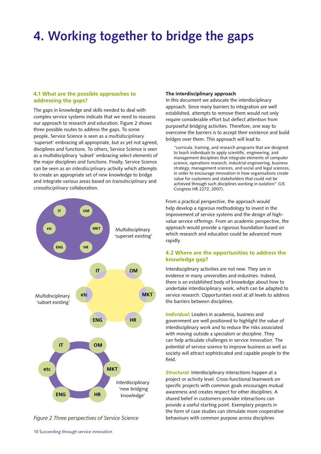# **4. Working together to bridge the gaps**

# **4.1 What are the possible approaches to addressing the gaps?**

The gaps in knowledge and skills needed to deal with complex service systems indicate that we need to reassess our approach to research and education. Figure 2 shows three possible routes to address the gaps. To some people, Service Science is seen as a *multidisciplinary* 'superset' embracing all appropriate, but as yet not agreed, disciplines and functions. To others, Service Science is seen as a multidisciplinary 'subset' embracing select elements of the major disciplines and functions. Finally, Service Science can be seen as an *interdisciplinary* activity which attempts to create an appropriate set of new knowledge to bridge and integrate various areas based on *transdisciplinary* and *crossdisciplinary* collaboration.



*Figure 2 Three perspectives of Service Science*

#### **The interdisciplinary approach**

In this document we advocate the interdisciplinary approach. Since many barriers to integration are well established, attempts to remove them would not only require considerable effort but deflect attention from purposeful bridging activities. Therefore, one way to overcome the barriers is to accept their existence and build bridges over them. This approach will lead to

"curricula, training, and research programs that are designed to teach individuals to apply scientific, engineering, and management disciplines that integrate elements of computer science, operations research, industrial engineering, business strategy, management sciences, and social and legal sciences, in order to encourage innovation in how organisations create value for customers and stakeholders that could not be achieved through such disciplines working in isolation" (US Congress HR 2272, 2007).

From a practical perspective, the approach would help develop a rigorous methodology to invest in the improvement of service systems and the design of highvalue service offerings. From an academic perspective, the approach would provide a rigorous foundation based on which research and education could be advanced more rapidly.

# **4.2 Where are the opportunities to address the knowledge gap?**

Interdisciplinary activities are not new. They are in evidence in many universities and industries. Indeed, there is an established body of knowledge about how to undertake interdisciplinary work, which can be adapted to service research. Opportunities exist at all levels to address the barriers between disciplines.

*Individual:* Leaders in academia, business and government are well positioned to highlight the value of interdisciplinary work and to reduce the risks associated with moving outside a specialism or discipline. They can help articulate challenges in service innovation. The potential of service science to improve business as well as society will attract sophisticated and capable people to the field.

*Structural:* Interdisciplinary interactions happen at a project or activity level. Cross-functional teamwork on specific projects with common goals encourages mutual awareness and creates respect for other disciplines. A shared belief in customers-provider interactions can provide a useful starting point. Exemplary projects in the form of case studies can stimulate more cooperative behaviours with common purpose across disciplines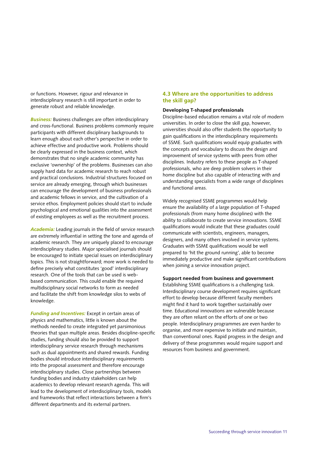or functions. However, rigour and relevance in interdisciplinary research is still important in order to generate robust and reliable knowledge.

*Business:* Business challenges are often interdisciplinary and cross-functional. Business problems commonly require participants with different disciplinary backgrounds to learn enough about each other's perspective in order to achieve effective and productive work. Problems should be clearly expressed in the business context, which demonstrates that no single academic community has exclusive 'ownership' of the problems. Businesses can also supply hard data for academic research to reach robust and practical conclusions. Industrial structures focused on service are already emerging, through which businesses can encourage the development of business professionals and academic fellows in service, and the cultivation of a service ethos. Employment policies should start to include psychological and emotional qualities into the assessment of existing employees as well as the recruitment process.

*Academia:* Leading journals in the field of service research are extremely influential in setting the tone and agenda of academic research. They are uniquely placed to encourage interdisciplinary studies. Major specialised journals should be encouraged to initiate special issues on interdisciplinary topics. This is not straightforward; more work is needed to define precisely what constitutes 'good' interdisciplinary research. One of the tools that can be used is webbased communication. This could enable the required multidisciplinary social networks to form as needed and facilitate the shift from knowledge silos to webs of knowledge.

*Funding and Incentives:* Except in certain areas of physics and mathematics, little is known about the methods needed to create integrated yet parsimonious theories that span multiple areas. Besides discipline-specific studies, funding should also be provided to support interdisciplinary service research through mechanisms such as dual appointments and shared rewards. Funding bodies should introduce interdisciplinary requirements into the proposal assessment and therefore encourage interdisciplinary studies. Close partnerships between funding bodies and industry stakeholders can help academics to develop relevant research agenda. This will lead to the development of interdisciplinary tools, models and frameworks that reflect interactions between a firm's different departments and its external partners.

# **4.3 Where are the opportunities to address the skill gap?**

## **Developing T-shaped professionals**

Discipline-based education remains a vital role of modern universities. In order to close the skill gap, however, universities should also offer students the opportunity to gain qualifications in the interdisciplinary requirements of SSME. Such qualifications would equip graduates with the concepts and vocabulary to discuss the design and improvement of service systems with peers from other disciplines. Industry refers to these people as T-shaped professionals, who are deep problem solvers in their home discipline but also capable of interacting with and understanding specialists from a wide range of disciplines and functional areas.

Widely recognised SSME programmes would help ensure the availability of a large population of T-shaped professionals (from many home disciplines) with the ability to collaborate to create service innovations. SSME qualifications would indicate that these graduates could communicate with scientists, engineers, managers, designers, and many others involved in service systems. Graduates with SSME qualifications would be well prepared to 'hit the ground running', able to become immediately productive and make significant contributions when joining a service innovation project.

### **Support needed from business and government**

Establishing SSME qualifications is a challenging task. Interdisciplinary course development requires significant effort to develop because different faculty members might find it hard to work together sustainably over time. Educational innovations are vulnerable because they are often reliant on the efforts of one or two people. Interdisciplinary programmes are even harder to organise, and more expensive to initiate and maintain, than conventional ones. Rapid progress in the design and delivery of these programmes would require support and resources from business and government.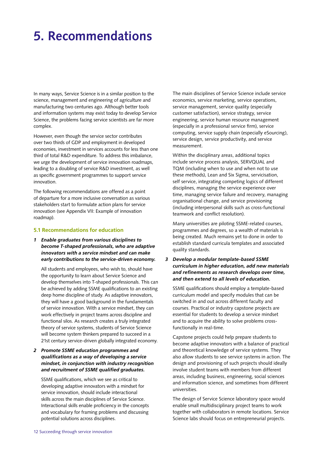# **5. Recommendations**

In many ways, Service Science is in a similar position to the science, management and engineering of agriculture and manufacturing two centuries ago. Although better tools and information systems may exist today to develop Service Science, the problems facing service scientists are far more complex.

However, even though the service sector contributes over two thirds of GDP and employment in developed economies, investment in services accounts for less than one third of total R&D expenditure. To address this imbalance, we urge the development of service innovation roadmaps, leading to a doubling of service R&D investment, as well as specific government programmes to support service innovation.

The following recommendations are offered as a point of departure for a more inclusive conversation as various stakeholders start to formulate action plans for service innovation (see Appendix VII: Example of innovation roadmap).

#### **5.1 Recommendations for education**

*1 Enable graduates from various disciplines to become T-shaped professionals, who are adaptive innovators with a service mindset and can make early contributions to the service-driven economy.* 

All students and employees, who wish to, should have the opportunity to learn about Service Science and develop themselves into T-shaped professionals. This can be achieved by adding SSME qualifications to an existing deep home discipline of study. As adaptive innovators, they will have a good background in the fundamentals of service innovation. With a service mindset, they can work effectively in project teams across discipline and functional silos. As research creates a truly integrated theory of service systems, students of Service Science will become system thinkers prepared to succeed in a 21st century service-driven globally integrated economy.

# *2 Promote SSME education programmes and qualifications as a way of developing a service mindset, in conjunction with industry recognition and recruitment of SSME qualified graduates.*

SSME qualifications, which we see as critical to developing adaptive innovators with a mindset for service innovation, should include interactional skills across the main disciplines of Service Science. Interactional skills enable proficiency in the concepts and vocabulary for framing problems and discussing potential solutions across disciplines.

The main disciplines of Service Science include service economics, service marketing, service operations, service management, service quality (especially customer satisfaction), service strategy, service engineering, service human resource management (especially in a professional service firm), service computing, service supply chain (especially eSourcing), service design, service productivity, and service measurement.

Within the disciplinary areas, additional topics include service process analysis, SERVQUAL and TQM (including when to use and when not to use these methods), Lean and Six Sigma, servicisation, self service, integrating competing logics of different disciplines, managing the service experience over time, managing service failure and recovery, managing organisational change, and service provisioning (including interpersonal skills such as cross-functional teamwork and conflict resolution).

Many universities are piloting SSME-related courses, programmes and degrees, so a wealth of materials is being created. Much remains yet to done in order to establish standard curricula templates and associated quality standards.

# *3 Develop a modular template-based SSME curriculum in higher education, add new materials and refinements as research develops over time, and then extend to all levels of education.*

SSME qualifications should employ a template-based curriculum model and specify modules that can be switched in and out across different faculty and courses. Practical or industry capstone projects are essential for students to develop a service mindset and to acquire the ability to solve problems crossfunctionally in real-time.

Capstone projects could help prepare students to become adaptive innovators with a balance of practical and theoretical knowledge of service systems. They also allow students to see service systems in action. The design and provisioning of such projects should ideally involve student teams with members from different areas, including business, engineering, social sciences and information science, and sometimes from different universities.

The design of Service Science laboratory space would enable small multidisciplinary project teams to work together with collaborators in remote locations. Service Science labs should focus on entrepreneurial projects.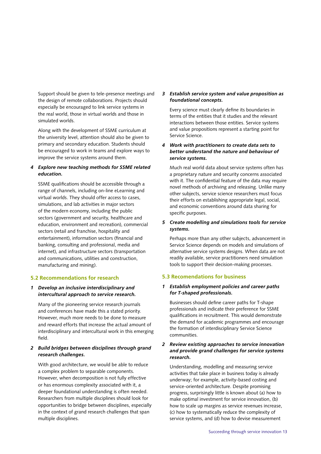Support should be given to tele-presence meetings and the design of remote collaborations. Projects should especially be encouraged to link service systems in the real world, those in virtual worlds and those in simulated worlds.

Along with the development of SSME curriculum at the university level, attention should also be given to primary and secondary education. Students should be encouraged to work in teams and explore ways to improve the service systems around them.

# *4 Explore new teaching methods for SSME related education.*

SSME qualifications should be accessible through a range of channels, including on-line eLearning and virtual worlds. They should offer access to cases, simulations, and lab activities in major sectors of the modern economy, including the public sectors (government and security, healthcare and education, environment and recreation), commercial sectors (retail and franchise, hospitality and entertainment), information sectors (financial and banking, consulting and professional, media and internet), and infrastructure sectors (transportation and communications, utilities and construction, manufacturing and mining).

# **5.2 Recommendations for research**

# *1 Develop an inclusive interdisciplinary and intercultural approach to service research.*

Many of the pioneering service research journals and conferences have made this a stated priority. However, much more needs to be done to measure and reward efforts that increase the actual amount of interdisciplinary and intercultural work in this emerging field.

# *2 Build bridges between disciplines through grand research challenges.*

With good architecture, we would be able to reduce a complex problem to separable components. However, when decomposition is not fully effective or has enormous complexity associated with it, a deeper foundational understanding is often needed. Researchers from multiple disciplines should look for opportunities to bridge between disciplines, especially in the context of grand research challenges that span multiple disciplines.

# *3 Establish service system and value proposition as foundational concepts.*

Every science must clearly define its boundaries in terms of the entities that it studies and the relevant interactions between those entities. Service systems and value propositions represent a starting point for Service Science.

# *4 Work with practitioners to create data sets to better understand the nature and behaviour of service systems.*

Much real world data about service systems often has a proprietary nature and security concerns associated with it. The confidential feature of the data may require novel methods of archiving and releasing. Unlike many other subjects, service science researchers must focus their efforts on establishing appropriate legal, social, and economic conventions around data sharing for specific purposes.

# *5 Create modelling and simulations tools for service systems.*

Perhaps more than any other subjects, advancement in Service Science depends on models and simulations of alternative service systems designs. When data are not readily available, service practitioners need simulation tools to support their decision-making processes.

# **5.3 Recomendations for business**

# *1 Establish employment policies and career paths for T-shaped professionals.*

Businesses should define career paths for T-shape professionals and indicate their preference for SSME qualifications in recruitment. This would demonstrate the demand for academic programmes and encourage the formation of interdisciplinary Service Science communities.

# *2 Review existing approaches to service innovation and provide grand challenges for service systems research.*

Understanding, modelling and measuring service activities that take place in business today is already underway; for example, activity-based costing and service-oriented architecture. Despite promising progress, surprisingly little is known about (a) how to make optimal investment for service innovation, (b) how to scale up margins as service revenues increase, (c) how to systematically reduce the complexity of service systems, and (d) how to devise measurement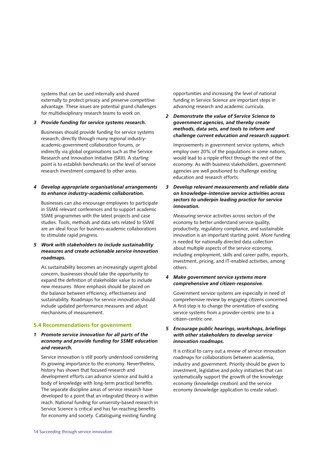systems that can be used internally and shared externally to protect privacy and preserve competitive advantage. These issues are potential grand challenges for multidisciplinary research teams to work on.

# *3 Provide funding for service systems research.*

Businesses should provide funding for service systems research, directly through many regional industryacademic-government collaboration forums, or indirectly via global organisations such as the Service Research and Innovation Initiative (SRII). A starting point is to establish benchmarks on the level of service research investment compared to other areas.

# *4 Develop appropriate organisational arrangements to enhance industry-academic collaboration.*

Businesses can also encourage employees to participate in SSME relevant conferences and to support academic SSME programmes with the latest projects and case studies. Tools, methods and data sets related to SSME are an ideal focus for business-academic collaborations to stimulate rapid progress.

# *5 Work with stakeholders to include sustainability measures and create actionable service innovation roadmaps.*

As sustainability becomes an increasingly urgent global concern, businesses should take the opportunity to expand the definition of stakeholder value to include new measures. More emphasis should be placed on the balance between efficiency, effectiveness and sustainability. Roadmaps for service innovation should include updated performance measures and adjust mechanisms of measurement.

# **5.4 Recommendations for government**

# *1 Promote service innovation for all parts of the economy and provide funding for SSME education and research.*

Service innovation is still poorly understood considering its growing importance to the economy. Nevertheless, history has shown that focused research and development efforts can advance science and build a body of knowledge with long-term practical benefits. The separate discipline areas of service research have developed to a point that an integrated theory is within reach. National funding for university-based research in Service Science is critical and has far-reaching benefits for economy and society. Cataloguing existing funding

opportunities and increasing the level of national funding in Service Science are important steps in advancing research and academic curricula.

*2 Demonstrate the value of Service Science to government agencies, and thereby create methods, data sets, and tools to inform and challenge current education and research support.*

Improvements in government service systems, which employ over 20% of the populations in some nations, would lead to a ripple effect through the rest of the economy. As with business stakeholders, government agencies are well positioned to challenge existing education and research efforts.

# *3 Develop relevant measurements and reliable data on knowledge-intensive service activities across sectors to underpin leading practice for service innovation.*

Measuring service activities across sectors of the economy to better understand service quality, productivity, regulatory compliance, and sustainable innovation is an important starting point. More funding is needed for nationally directed data collection about multiple aspects of the service economy, including employment, skills and career paths, exports, investment, pricing, and IT-enabled activities, among others.

# *4 Make government service systems more comprehensive and citizen-responsive.*

Government service systems are especially in need of comprehensive review by engaging citizens concerned. A first step is to change the orientation of existing service systems from a provider-centric one to a citizen-centric one.

# *5 Encourage public hearings, workshops, briefings with other stakeholders to develop service innovation roadmaps.*

It is critical to carry out a review of service innovation roadmaps for collaborations between academia, industry and government. Priority should be given to investment, legislative and policy initiatives that can systematically support the growth of the knowledge economy (knowledge creation) and the service economy (knowledge application to create value).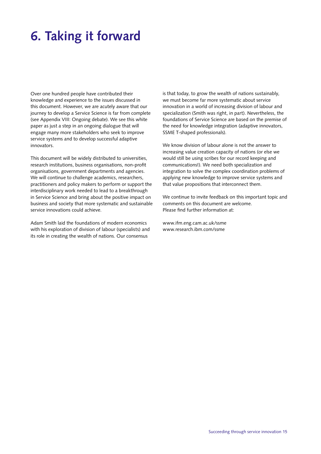# **6. Taking it forward**

Over one hundred people have contributed their knowledge and experience to the issues discussed in this document. However, we are acutely aware that our journey to develop a Service Science is far from complete (see Appendix VIII: Ongoing debate). We see this white paper as just a step in an ongoing dialogue that will engage many more stakeholders who seek to improve service systems and to develop successful adaptive innovators.

This document will be widely distributed to universities, research institutions, business organisations, non-profit organisations, government departments and agencies. We will continue to challenge academics, researchers, practitioners and policy makers to perform or support the interdisciplinary work needed to lead to a breakthrough in Service Science and bring about the positive impact on business and society that more systematic and sustainable service innovations could achieve.

Adam Smith laid the foundations of modern economics with his exploration of division of labour (specialists) and its role in creating the wealth of nations. Our consensus

is that today, to grow the wealth of nations sustainably, we must become far more systematic about service innovation in a world of increasing division of labour and specialization (Smith was right, in part). Nevertheless, the foundations of Service Science are based on the premise of the need for knowledge integration (adaptive innovators, SSME T-shaped professionals).

We know division of labour alone is not the answer to increasing value creation capacity of nations (or else we would still be using scribes for our record keeping and communications!). We need both specialization and integration to solve the complex coordination problems of applying new knowledge to improve service systems and that value propositions that interconnect them.

We continue to invite feedback on this important topic and comments on this document are welcome. Please find further information at:

www.ifm.eng.cam.ac.uk/ssme www.research.ibm.com/ssme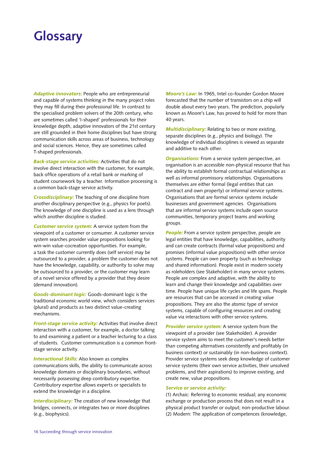# **Glossary**

*Adaptive innovators:* People who are entrepreneurial and capable of systems thinking in the many project roles they may fill during their professional life. In contrast to the specialised problem solvers of the 20th century, who are sometimes called 'I-shaped' professionals for their knowledge depth, adaptive innovators of the 21st century are still grounded in their home disciplines but have strong communication skills across areas of business, technology and social sciences. Hence, they are sometimes called T-shaped professionals.

*Back-stage service activities:* Activities that do not involve direct interaction with the customer, for example, back office operations of a retail bank or marking of student coursework by a teacher. Information processing is a common back-stage service activity.

*Crossdisciplinary:* The teaching of one discipline from another disciplinary perspective (e.g., physics for poets). The knowledge of one discipline is used as a lens through which another discipline is studied.

*Customer service system:* A service system from the viewpoint of a customer or consumer. A customer service system searches provider value propositions looking for win-win value-cocreation opportunities. For example, a task the customer currently does (self service) may be outsourced to a provider, a problem the customer does not have the knowledge, capability, or authority to solve may be outsourced to a provider, or the customer may learn of a novel service offered by a provider that they desire (demand innovation).

*Goods-dominant logic:* Goods-dominant logic is the traditional economic world view, which considers services (plural) and products as two distinct value-creating mechanisms.

*Front-stage service activity:* Activities that involve direct interaction with a customer, for example, a doctor talking to and examining a patient or a teacher lecturing to a class of students. Customer communication is a common frontstage service activity.

*Interactional Skills:* Also known as complex communications skills, the ability to communicate across knowledge domains or disciplinary boundaries, without necessarily possessing deep contributory expertise. Contributory expertise allows experts or specialists to extend the knowledge in a discipline.

*Interdisciplinary:* The creation of new knowledge that bridges, connects, or integrates two or more disciplines (e.g., biophysics).

*Moore's Law:* In 1965, Intel co-founder Gordon Moore forecasted that the number of transistors on a chip will double about every two years. The prediction, popularly known as Moore's Law, has proved to hold for more than 40 years.

*Multidisciplinary:* Relating to two or more existing, separate disciplines (e.g., physics and biology). The knowledge of individual disciplines is viewed as separate and additive to each other.

*Organisations:* From a service system perspective, an organisation is an accessible non-physical resource that has the ability to establish formal contractual relationships as well as informal promissory relationships. Organisations themselves are either formal (legal entities that can contract and own property) or informal service systems. Organisations that are formal service systems include businesses and government agencies. Organisations that are informal service systems include open source communities, temporary project teams and working groups.

*People:* From a service system perspective, people are legal entities that have knowledge, capabilities, authority and can create contracts (formal value propositions) and promises (informal value propositions) with other service systems. People can own property (such as technology and shared information). People exist in modern society as roleholders (see Stakeholder) in many service systems. People are complex and adaptive, with the ability to learn and change their knowledge and capabilities over time. People have unique life cycles and life spans. People are resources that can be accessed in creating value propositions. They are also the atomic type of service systems, capable of configuring resources and creating value via interactions with other service systems.

*Provider service system:* A service system from the viewpoint of a provider (see Stakeholder). A provider service system aims to meet the customer's needs better than competing alternatives consistently and profitably (in business context) or sustainably (in non-business context). Provider service systems seek deep knowledge of customer service systems (their own service activities, their unsolved problems, and their aspirations) to improve existing, and create new, value propositions.

#### *Service or service activity:*

(1) Archaic: Referring to economic residual; any economic exchange or production process that does not result in a physical product transfer or output; non-productive labour. (2) Modern: The application of competences (knowledge,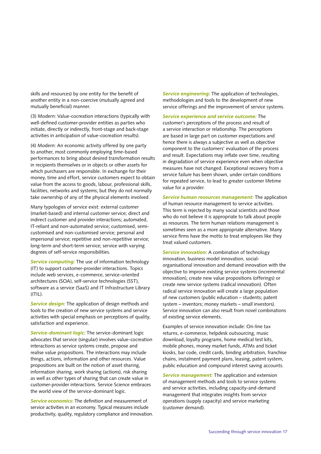skills and resources) by one entity for the benefit of another entity in a non-coercive (mutually agreed and mutually beneficial) manner.

(3) Modern: Value-cocreation interactions (typically with well-defined customer-provider entities as parties who initiate, directly or indirectly, front-stage and back-stage activities in anticipation of value-cocreation results).

(4) Modern: An economic activity offered by one party to another, most commonly employing time-based performances to bring about desired transformation results in recipients themselves or in objects or other assets for which purchasers are responsible. In exchange for their money, time and effort, service customers expect to obtain value from the access to goods, labour, professional skills, facilities, networks and systems; but they do not normally take ownership of any of the physical elements involved.

Many typologies of service exist: external customer (market-based) and internal customer service; direct and indirect customer and provider interactions; automated, IT-reliant and non-automated service; customised, semicustomised and non-customised service; personal and impersonal service; repetitive and non-repetitive service; long-term and short-term service; service with varying degrees of self-service responsibilities.

*Service computing:* The use of information technology (IT) to support customer-provider interactions. Topics include web services, e-commerce, service-oriented architectures (SOA), self-service technologies (SST), software as a service (SaaS) and IT Infrastructure Library (ITIL).

*Service design:* The application of design methods and tools to the creation of new service systems and service activities with special emphasis on perceptions of quality, satisfaction and experience.

*Service-dominant logic:* The service-dominant logic advocates that service (singular) involves value-cocreation interactions as service systems create, propose and realise value propositions. The interactions may include things, actions, information and other resources. Value propositions are built on the notion of asset sharing, information sharing, work sharing (actions), risk sharing as well as other types of sharing that can create value in customer-provider interactions. Service Science embraces the world view of the service-dominant logic.

*Service economics:* The definition and measurement of service activities in an economy. Typical measures include productivity, quality, regulatory compliance and innovation. *Service engineering:* The application of technologies, methodologies and tools to the development of new service offerings and the improvement of service systems.

*Service experience and service outcome:* The customer's perceptions of the process and result of a service interaction or relationship. The perceptions are based in large part on customer expectations and hence there is always a subjective as well as objective component to the customers' evaluation of the process and result. Expectations may inflate over time, resulting in degradation of service experience even when objective measures have not changed. Exceptional recovery from a service failure has been shown, under certain conditions for repeated service, to lead to greater customer lifetime value for a provider.

*Service human resources management:* The application of human resource management to service activities. This term is rejected by many social scientists and those who do not believe it is appropriate to talk about people as resources. The term human relations management is sometimes seen as a more appropriate alternative. Many service firms have the motto to treat employees like they treat valued customers.

*Service innovation:* A combination of technology innovation, business model innovation, socialorganisational innovation and demand innovation with the objective to improve existing service systems (incremental innovation), create new value propositions (offerings) or create new service systems (radical innovation). Often radical service innovation will create a large population of new customers (public education – students; patent system – inventors; money markets – small investors). Service innovation can also result from novel combinations of existing service elements.

Examples of service innovation include: On-line tax returns, e-commerce, helpdesk outsourcing, music download, loyalty programs, home medical test kits, mobile phones, money market funds, ATMs and ticket kiosks, bar code, credit cards, binding arbitration, franchise chains, instalment payment plans, leasing, patent system, public education and compound interest saving accounts.

*Service management:* The application and extension of management methods and tools to service systems and service activities, including capacity-and-demand management that integrates insights from service operations (supply capacity) and service marketing (customer demand).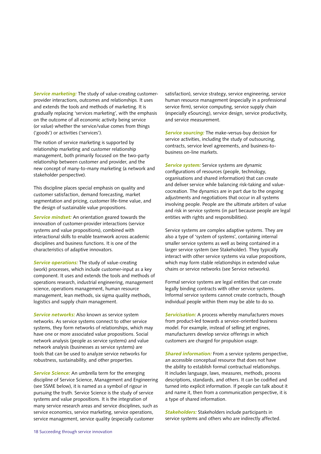*Service marketing:* The study of value-creating customerprovider interactions, outcomes and relationships. It uses and extends the tools and methods of marketing. It is gradually replacing 'services marketing', with the emphasis on the outcome of all economic activity being service (or value) whether the service/value comes from things ('goods') or activities ('services').

The notion of service marketing is supported by relationship marketing and customer relationship management, both primarily focused on the two-party relationship between customer and provider, and the new concept of many-to-many marketing (a network and stakeholder perspective).

This discipline places special emphasis on quality and customer satisfaction, demand forecasting, market segmentation and pricing, customer life-time value, and the design of sustainable value propositions.

*Service mindset:* An orientation geared towards the innovation of customer-provider interactions (service systems and value propositions), combined with interactional skills to enable teamwork across academic disciplines and business functions. It is one of the characteristics of adaptive innovators.

*Service operations:* The study of value-creating (work) processes, which include customer-input as a key component. It uses and extends the tools and methods of operations research, industrial engineering, management science, operations management, human resource management, lean methods, six sigma quality methods, logistics and supply chain management.

*Service networks:* Also known as service system networks. As service systems connect to other service systems, they form networks of relationships, which may have one or more associated value propositions. Social network analysis (people as service systems) and value network analysis (businesses as service systems) are tools that can be used to analyze service networks for robustness, sustainability, and other properties.

*Service Science:* An umbrella term for the emerging discipline of Service Science, Management and Engineering (see SSME below), it is named as a symbol of rigour in pursuing the truth. Service Science is the study of service systems and value propositions. It is the integration of many service research areas and service disciplines, such as service economics, service marketing, service operations, service management, service quality (especially customer

satisfaction), service strategy, service engineering, service human resource management (especially in a professional service firm), service computing, service supply chain (especially eSourcing), service design, service productivity, and service measurement.

*Service sourcing:* The make-versus-buy decision for service activities, including the study of outsourcing, contracts, service level agreements, and business-tobusiness on-line markets.

*Service system:* Service systems are dynamic configurations of resources (people, technology, organisations and shared information) that can create and deliver service while balancing risk-taking and valuecocreation. The dynamics are in part due to the ongoing adjustments and negotiations that occur in all systems involving people. People are the ultimate arbiters of value and risk in service systems (in part because people are legal entities with rights and responsibilities).

Service systems are complex adaptive systems. They are also a type of 'system of systems', containing internal smaller service systems as well as being contained in a larger service system (see Stakeholder). They typically interact with other service systems via value propositions, which may form stable relationships in extended value chains or service networks (see Service networks).

Formal service systems are legal entities that can create legally binding contracts with other service systems. Informal service systems cannot create contracts, though individual people within them may be able to do so.

*Servicisation:* A process whereby manufacturers moves from product-led towards a service-oriented business model. For example, instead of selling jet engines, manufacturers develop service offerings in which customers are charged for propulsion usage.

*Shared information:* From a service systems perspective, an accessible conceptual resource that does not have the ability to establish formal contractual relationships. It includes language, laws, measures, methods, process descriptions, standards, and others. It can be codified and turned into explicit information. If people can talk about it and name it, then from a communication perspective, it is a type of shared information.

*Stakeholders:* Stakeholders include participants in service systems and others who are indirectly affected.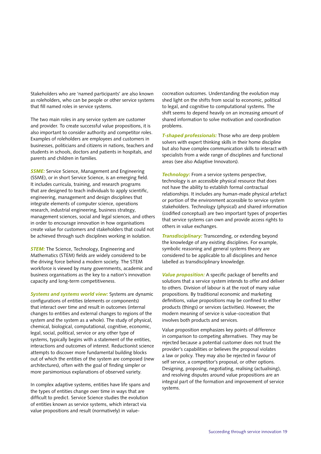Stakeholders who are 'named participants' are also known as roleholders, who can be people or other service systems that fill named roles in service systems.

The two main roles in any service system are customer and provider. To create successful value propositions, it is also important to consider authority and competitor roles. Examples of roleholders are employees and customers in businesses, politicians and citizens in nations, teachers and students in schools, doctors and patients in hospitals, and parents and children in families.

**SSME:** Service Science, Management and Engineering (SSME), or in short Service Science, is an emerging field. It includes curricula, training, and research programs that are designed to teach individuals to apply scientific, engineering, management and design disciplines that integrate elements of computer science, operations research, industrial engineering, business strategy, management sciences, social and legal sciences, and others in order to encourage innovation in how organisations create value for customers and stakeholders that could not be achieved through such disciplines working in isolation.

**STEM:** The Science, Technology, Engineering and Mathematics (STEM) fields are widely considered to be the driving force behind a modern society. The STEM workforce is viewed by many governments, academic and business organisations as the key to a nation's innovation capacity and long-term competitiveness.

*Systems and systems world view:* Systems are dynamic configurations of entities (elements or components) that interact over time and result in outcomes (internal changes to entities and external changes to regions of the system and the system as a whole). The study of physical, chemical, biological, computational, cognitive, economic, legal, social, political, service or any other type of systems, typically begins with a statement of the entities, interactions and outcomes of interest. Reductionist science attempts to discover more fundamental building blocks out of which the entities of the system are composed (new architectures), often with the goal of finding simpler or more parsimonious explanations of observed variety.

In complex adaptive systems, entities have life spans and the types of entities change over time in ways that are difficult to predict. Service Science studies the evolution of entities known as service systems, which interact via value propositions and result (normatively) in valuecocreation outcomes. Understanding the evolution may shed light on the shifts from social to economic, political to legal, and cognitive to computational systems. The shift seems to depend heavily on an increasing amount of shared information to solve motivation and coordination problems.

*T-shaped professionals:* Those who are deep problem solvers with expert thinking skills in their home discipline but also have complex communication skills to interact with specialists from a wide range of disciplines and functional areas (see also Adaptive Innovators).

*Technology:* From a service systems perspective, technology is an accessible physical resource that does not have the ability to establish formal contractual relationships. It includes any human-made physical artefact or portion of the environment accessible to service system stakeholders. Technology (physical) and shared information (codified conceptual) are two important types of properties that service systems can own and provide access rights to others in value exchanges.

*Transdisciplinary:* Transcending, or extending beyond the knowledge of any existing disciplines. For example, symbolic reasoning and general systems theory are considered to be applicable to all disciplines and hence labelled as transdisciplinary knowledge.

*Value proposition:* A specific package of benefits and solutions that a service system intends to offer and deliver to others. Division of labour is at the root of many value propositions. By traditional economic and marketing definitions, value propositions may be confined to either products (things) or services (activities). However, the modern meaning of service is value-cocreation that involves both products and services.

Value proposition emphasizes key points of difference in comparison to competing alternatives. They may be rejected because a potential customer does not trust the provider's capabilities or believes the proposal violates a law or policy. They may also be rejected in favour of self service, a competitor's proposal, or other options. Designing, proposing, negotiating, realising (actualising), and resolving disputes around value propositions are an integral part of the formation and improvement of service systems.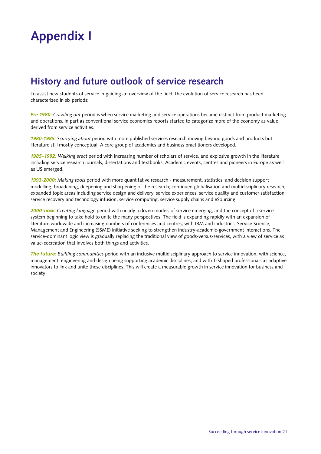# **Appendix I**

# **History and future outlook of service research**

To assist new students of service in gaining an overview of the field, the evolution of service research has been characterized in six periods:

*Pre 1980: Crawling out* period is when service marketing and service operations became distinct from product marketing and operations, in part as conventional service economics reports started to categorize more of the economy as value derived from service activities.

*1980-1985: Scurrying about* period with more published services research moving beyond goods and products but literature still mostly conceptual. A core group of academics and business practitioners developed.

*1985–1992: Walking erect* period with increasing number of scholars of service, and explosive growth in the literature including service research journals, dissertations and textbooks. Academic events, centres and pioneers in Europe as well as US emerged.

*1993-2000: Making tools* period with more quantitative research - measurement, statistics, and decision support modelling; broadening, deepening and sharpening of the research; continued globalisation and multidisciplinary research; expanded topic areas including service design and delivery, service experiences, service quality and customer satisfaction, service recovery and technology infusion, service computing, service supply chains and eSourcing.

*2000-now: Creating language* period with nearly a dozen models of service emerging, and the concept of a service system beginning to take hold to unite the many perspectives. The field is expanding rapidly with an expansion of literature worldwide and increasing numbers of conferences and centres, with IBM and industries' Service Science, Management and Engineering (SSME) initiative seeking to strengthen industry-academic-government interactions. The service-dominant logic view is gradually replacing the traditional view of goods-versus-services, with a view of service as value-cocreation that involves both things and activities.

*The future: Building communities* period with an inclusive multidisciplinary approach to service innovation, with science, management, engineering and design being supporting academic disciplines, and with T-Shaped professionals as adaptive innovators to link and unite these disciplines. This will create a measurable growth in service innovation for business and society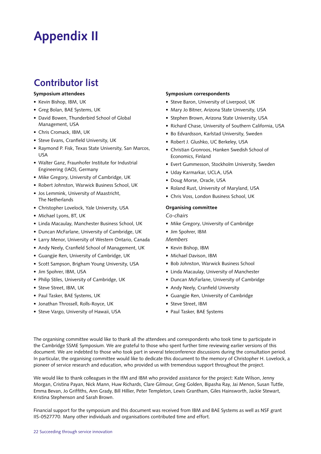# **Appendix II**

# **Contributor list**

### **Symposium attendees**

- • Kevin Bishop, IBM, UK
- • Greg Bolan, BAE Systems, UK
- David Bowen, Thunderbird School of Global Management, USA
- Chris Cromack, IBM, UK
- Steve Evans, Cranfield University, UK
- Raymond P. Fisk, Texas State University, San Marcos, USA
- Walter Ganz, Fraunhofer Institute for Industrial Engineering (IAO), Germany
- Mike Gregory, University of Cambridge, UK
- Robert Johnston, Warwick Business School, UK
- Jos Lemmink, University of Maastricht, The Netherlands
- Christopher Lovelock, Yale University, USA
- Michael Lyons, BT, UK
- Linda Macaulay, Manchester Business School, UK
- Duncan McFarlane, University of Cambridge, UK
- Larry Menor, University of Western Ontario, Canada
- Andy Neely, Cranfield School of Management, UK
- • Guangjie Ren, University of Cambridge, UK
- Scott Sampson, Brigham Young University, USA
- Jim Spohrer, IBM, USA
- Philip Stiles, University of Cambridge, UK
- Steve Street, IBM, UK
- Paul Tasker, BAE Systems, UK
- Jonathan Throssell, Rolls-Royce, UK
- Steve Vargo, University of Hawaii, USA

#### **Symposium correspondents**

- Steve Baron, University of Liverpool, UK
- Mary Jo Bitner, Arizona State University, USA
- Stephen Brown, Arizona State University, USA
- Richard Chase, University of Southern California, USA
- Bo Edvardsson, Karlstad University, Sweden
- Robert J. Glushko, UC Berkeley, USA
- • Christian Gronroos, Hanken Swedish School of Economics, Finland
- Evert Gummesson, Stockholm University, Sweden
- • Uday Karmarkar, UCLA, USA
- Doug Morse, Oracle, USA
- Roland Rust, University of Maryland, USA
- Chris Voss, London Business School, UK
- **Organising committee**
- *Co-chairs*
- Mike Gregory, University of Cambridge
- Jim Spohrer, IBM

*Members*

- Kevin Bishop, IBM
- Michael Davison, IBM
- • Bob Johnston, Warwick Business School
- Linda Macaulay, University of Manchester
- Duncan McFarlane, University of Cambridge
- Andy Neely, Cranfield University
- • Guangjie Ren, University of Cambridge
- Steve Street, IBM
- Paul Tasker, BAE Systems

The organising committee would like to thank all the attendees and correspondents who took time to participate in the Cambridge SSME Symposium. We are grateful to those who spent further time reviewing earlier versions of this document. We are indebted to those who took part in several teleconference discussions during the consultation period. In particular, the organising committee would like to dedicate this document to the memory of Christopher H. Lovelock, a pioneer of service research and education, who provided us with tremendous support throughout the project.

We would like to thank colleagues in the IfM and IBM who provided assistance for the project: Kate Wilson, Jenny Morgan, Cristina Payan, Nick Mann, Huw Richards, Clare Gilmour, Greg Golden, Bipasha Ray, Jai Menon, Susan Tuttle, Emma Bevan, Jo Griffiths, Ann Grady, Bill Hillier, Peter Templeton, Lewis Grantham, Giles Hainsworth, Jackie Stewart, Kristina Stephenson and Sarah Brown.

Financial support for the symposium and this document was received from IBM and BAE Systems as well as NSF grant IIS-0527770. Many other individuals and organisations contributed time and effort.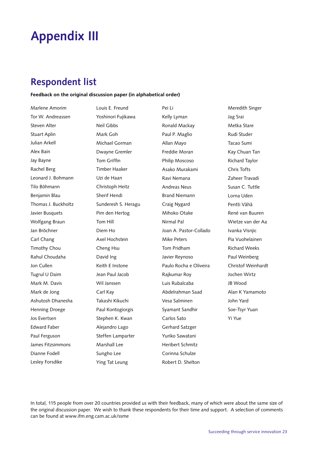# **Appendix III**

# **Respondent list**

### **Feedback on the original discussion paper (in alphabetical order)**

Marlene Amorim Tor W. Andreassen Steven Alter Stuart Aplin Julian Arkell Alex Bain Jay Bayne Rachel Berg Leonard J. Bohmann Tilo Böhmann Benjamin Blau Thomas J. Buckholtz Javier Busquets Wolfgang Braun Jan Bröchner Carl Chang Timothy Chou Rahul Choudaha Jon Cullen Tugrul U Daim Mark M. Davis Mark de Jong Ashutosh Dhanesha Henning Droege Jos Evertsen Edward Faber Paul Ferguson James Fitzsimmons Dianne Fodell Lesley Forsdike

Louis E. Freund Yoshinori Fujikawa Neil Gibbs Mark Goh Michael Gorman Dwayne Gremler Tom Griffin Timber Haaker Uzi de Haan Christoph Heitz Sherif Hendi Sunderesh S. Heragu Pim den Hertog Tom Hill Diem Ho Axel Hochstein Cheng Hsu David Ing Keith E Instone Jean Paul Jacob Wil Janssen Carl Kay Takashi Kikuchi Paul Kontogiorgis Stephen K. Kwan Alejandro Lago Steffen Lamparter Marshall Lee Sungho Lee Ying Tat Leung

Pei Li Kelly Lyman Ronald Mackay Paul P. Maglio Allan Mayo Freddie Moran Philip Moscoso Asako Murakami Ravi Nemana Andreas Neus Brand Niemann Craig Nygard Mihoko Otake Nirmal Pal Joan A. Pastor-Collado Mike Peters Tom Pridham Javier Reynoso Paulo Rocha e Oliveira Rajkumar Roy Luis Rubalcaba Abdelrahman Saad Vesa Salminen Syamant Sandhir Carlos Sato Gerhard Satzger Yuriko Sawatani Heribert Schmitz Corinna Schulze

Robert D. Shelton

Meredith Singer Jag Srai Metka Stare Rudi Studer Tacao Sumi Kay Chuan Tan Richard Taylor Chris Tofts Zaheer Travadi Susan C. Tuttle Lorna Uden Pentti Vähä René van Buuren Wietze van der Aa Ivanka Visnjic Pia Vuohelainen Richard Weeks Paul Weinberg Christof Weinhardt Jochen Wirtz JB Wood Alan K Yamamoto John Yard Soe-Tsyr Yuan Yi Yue

In total, 115 people from over 20 countries provided us with their feedback, many of which were about the same size of the original discussion paper. We wish to thank these respondents for their time and support. A selection of comments can be found at www.ifm.eng.cam.ac.uk/ssme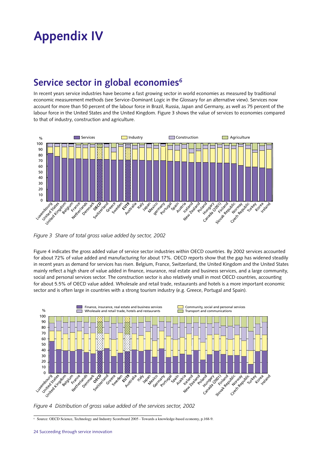# **Appendix IV**

# Service sector in global economies<sup>6</sup>

In recent years service industries have become a fast growing sector in world economies as measured by traditional economic measurement methods (see Service-Dominant Logic in the Glossary for an alternative view). Services now account for more than 50 percent of the labour force in Brazil, Russia, Japan and Germany, as well as 75 percent of the labour force in the United States and the United Kingdom. Figure 3 shows the value of services to economies compared to that of industry, construction and agriculture.



*Figure 3 Share of total gross value added by sector, 2002*

Figure 4 indicates the gross added value of service sector industries within OECD countries. By 2002 services accounted for about 72% of value added and manufacturing for about 17%. OECD reports show that the gap has widened steadily in recent years as demand for services has risen. Belgium, France, Switzerland, the United Kingdom and the United States mainly reflect a high share of value added in finance, insurance, real estate and business services, and a large community, social and personal services sector. The construction sector is also relatively small in most OECD countries, accounting for about 5.5% of OECD value added. Wholesale and retail trade, restaurants and hotels is a more important economic sector and is often large in countries with a strong tourism industry (e.g. Greece, Portugal and Spain).



*Figure 4 Distribution of gross value added of the services sector, 2002*

<sup>6</sup> Source: OECD Science, Technology and Industry Scoreboard 2005 - Towards a knowledge-based economy, p.168-9.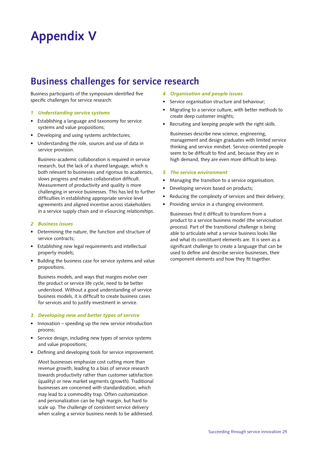# **Appendix V**

# **Business challenges for service research**

Business participants of the symposium identified five specific challenges for service research:

- *1 Understanding service systems*
- • Establishing a language and taxonomy for service systems and value propositions;
- • Developing and using systems architectures;
- • Understanding the role, sources and use of data in service provision.

Business-academic collaboration is required in service research, but the lack of a shared language, which is both relevant to businesses and rigorous to academics, slows progress and makes collaboration difficult. Measurement of productivity and quality is more challenging in service businesses. This has led to further difficulties in establishing appropriate service level agreements and aligned incentive across stakeholders in a service supply chain and in eSourcing relationships.

#### *2 Business issues*

- • Determining the nature, the function and structure of service contracts;
- Establishing new legal requirements and intellectual property models;
- Building the business case for service systems and value propositions.

Business models, and ways that margins evolve over the product or service life cycle, need to be better understood. Without a good understanding of service business models, it is difficult to create business cases for services and to justify investment in service.

#### *3 Developing new and better types of service*

- Innovation speeding up the new service introduction process;
- • Service design, including new types of service systems and value propositions;
- Defining and developing tools for service improvement.

Most businesses emphasize cost cutting more than revenue growth, leading to a bias of service research towards productivity rather than customer satisfaction (quality) or new market segments (growth). Traditional businesses are concerned with standardization, which may lead to a commodity trap. Often customization and personalization can be high margin, but hard to scale up. The challenge of consistent service delivery when scaling a service business needs to be addressed.

#### *4 Organisation and people issues*

- Service organisation structure and behaviour;
- Migrating to a service culture, with better methods to create deep customer insights;
- Recruiting and keeping people with the right skills.

Businesses describe new science, engineering, management and design graduates with limited service thinking and service mindset. Service-oriented people seem to be difficult to find and, because they are in high demand, they are even more difficult to keep.

#### *5 The service environment*

- Managing the transition to a service organisation;
- Developing services based on products;
- • Reducing the complexity of services and their delivery;
- Providing service in a changing environment.

Businesses find it difficult to transform from a product to a service business model (the servicisation process). Part of the transitional challenge is being able to articulate what a service business looks like and what its constituent elements are. It is seen as a significant challenge to create a language that can be used to define and describe service businesses, their component elements and how they fit together.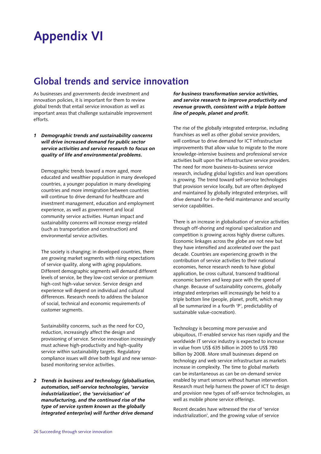# **Appendix VI**

# **Global trends and service innovation**

As businesses and governments decide investment and innovation policies, it is important for them to review global trends that entail service innovation as well as important areas that challenge sustainable improvement efforts.

*1 Demographic trends and sustainability concerns will drive increased demand for public sector service activities and service research to focus on quality of life and environmental problems.*

Demographic trends toward a more aged, more educated and wealthier population in many developed countries, a younger population in many developing countries and more immigration between countries will continue to drive demand for healthcare and investment management, education and employment experience, as well as government and local community service activities. Human impact and sustainability concerns will increase energy-related (such as transportation and construction) and environmental service activities.

The society is changing; in developed countries, there are growing market segments with rising expectations of service quality, along with aging populations. Different demographic segments will demand different levels of service, be they low-cost service or premium high-cost high-value service. Service design and experience will depend on individual and cultural differences. Research needs to address the balance of social, technical and economic requirements of customer segments.

Sustainability concerns, such as the need for  $CO<sub>2</sub>$ reduction, increasingly affect the design and provisioning of service. Service innovation increasingly must achieve high-productivity and high-quality service within sustainability targets. Regulatory compliance issues will drive both legal and new sensorbased monitoring service activities.

*2 Trends in business and technology (globalisation, automation, self-service technologies, 'service industrialization', the 'servicisation' of manufacturing, and the continued rise of the type of service system known as the globally integrated enterprise) will further drive demand* 

*for business transformation service activities, and service research to improve productivity and revenue growth, consistent with a triple bottom line of people, planet and profit.*

The rise of the globally integrated enterprise, including franchises as well as other global service providers, will continue to drive demand for ICT infrastructure improvements that allow value to migrate to the more knowledge-intensive business and professional service activities built upon the infrastructure service providers. The need for more business-to-business service research, including global logistics and lean operations is growing. The trend toward self-service technologies that provision service locally, but are often deployed and maintained by globally integrated enterprises, will drive demand for in-the-field maintenance and security service capabilities.

There is an increase in globalisation of service activities through off-shoring and regional specialization and competition is growing across highly diverse cultures. Economic linkages across the globe are not new but they have intensified and accelerated over the past decade. Countries are experiencing growth in the contribution of service activities to their national economies, hence research needs to have global application, be cross cultural, transcend traditional economic barriers and keep pace with the speed of change. Because of sustainability concerns, globally integrated enterprises will increasingly be held to a triple bottom line (people, planet, profit, which may all be summarized in a fourth 'P', predictability of sustainable value-cocreation).

Technology is becoming more pervasive and ubiquitous, IT-enabled service has risen rapidly and the worldwide IT service industry is expected to increase in value from US\$ 635 billion in 2005 to US\$ 780 billion by 2008. More small businesses depend on technology and web service infrastructure as markets increase in complexity. The time to global markets can be instantaneous as can be on-demand service enabled by smart sensors without human intervention. Research must help harness the power of ICT to design and provision new types of self-service technologies, as well as mobile phone service offerings.

Recent decades have witnessed the rise of 'service industrialization', and the growing value of service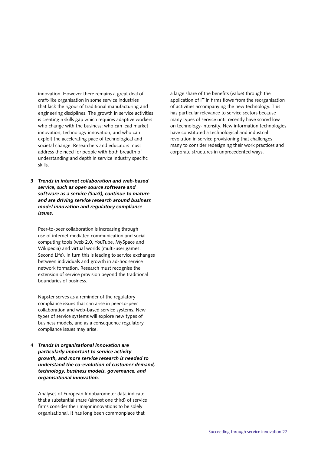innovation. However there remains a great deal of craft-like organisation in some service industries that lack the rigour of traditional manufacturing and engineering disciplines. The growth in service activities is creating a skills gap which requires adaptive workers who change with the business; who can lead market innovation, technology innovation, and who can exploit the accelerating pace of technological and societal change. Researchers and educators must address the need for people with both breadth of understanding and depth in service industry specific skills.

*3 Trends in internet collaboration and web-based service, such as open source software and software as a service (SaaS), continue to mature and are driving service research around business model innovation and regulatory compliance issues.*

Peer-to-peer collaboration is increasing through use of internet mediated communication and social computing tools (web 2.0, YouTube, MySpace and Wikipedia) and virtual worlds (multi-user games, Second Life). In turn this is leading to service exchanges between individuals and growth in ad-hoc service network formation. Research must recognise the extension of service provision beyond the traditional boundaries of business.

Napster serves as a reminder of the regulatory compliance issues that can arise in peer-to-peer collaboration and web-based service systems. New types of service systems will explore new types of business models, and as a consequence regulatory compliance issues may arise.

*4 Trends in organisational innovation are particularly important to service activity growth, and more service research is needed to understand the co-evolution of customer demand, technology, business models, governance, and organisational innovation.*

Analyses of European Innobarometer data indicate that a substantial share (almost one third) of service firms consider their major innovations to be solely organisational. It has long been commonplace that

a large share of the benefits (value) through the application of IT in firms flows from the reorganisation of activities accompanying the new technology. This has particular relevance to service sectors because many types of service until recently have scored low on technology-intensity. New information technologies have constituted a technological and industrial revolution in service provisioning that challenges many to consider redesigning their work practices and corporate structures in unprecedented ways.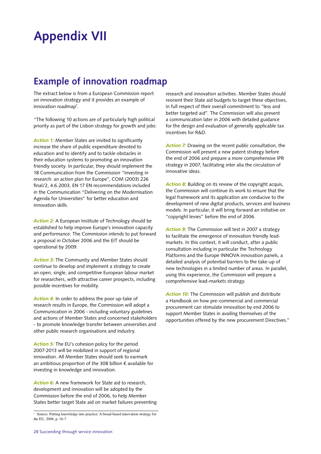# **Appendix VII**

# **Example of innovation roadmap**

The extract below is from a European Commission report on innovation strategy and it provides an example of innovation roadmap<sup>7</sup>.

"The following 10 actions are of particularly high political priority as part of the Lisbon strategy for growth and jobs:

*Action 1:* Member States are invited to significantly increase the share of public expenditure devoted to education and to identify and to tackle obstacles in their education systems to promoting an innovation friendly society. In particular, they should implement the 18 Communication from the Commission "Investing in research: an action plan for Europe", COM (2003) 226 final/2, 4.6.2003. EN 17 EN recommendations included in the Communication "Delivering on the Modernisation Agenda for Universities" for better education and innovation skills.

**Action 2:** A European Institute of Technology should be established to help improve Europe's innovation capacity and performance. The Commission intends to put forward a proposal in October 2006 and the EIT should be operational by 2009.

*Action 3:* The Community and Member States should continue to develop and implement a strategy to create an open, single, and competitive European labour market for researchers, with attractive career prospects, including possible incentives for mobility.

*Action 4:* In order to address the poor up-take of research results in Europe, the Commission will adopt a Communication in 2006 - including voluntary guidelines and actions of Member States and concerned stakeholders - to promote knowledge transfer between universities and other public research organisations and industry.

*Action 5:* The EU's cohesion policy for the period 2007-2013 will be mobilized in support of regional innovation. All Member States should seek to earmark an ambitious proportion of the 308 billion € available for investing in knowledge and innovation.

*Action 6:* A new framework for State aid to research, development and innovation will be adopted by the Commission before the end of 2006, to help Member States better target State aid on market failures preventing

research and innovation activities. Member States should reorient their State aid budgets to target these objectives, in full respect of their overall commitment to "less and better targeted aid". The Commission will also present a communication later in 2006 with detailed guidance for the design and evaluation of generally applicable tax incentives for R&D.

*Action 7:* Drawing on the recent public consultation, the Commission will present a new patent strategy before the end of 2006 and prepare a more comprehensive IPR strategy in 2007, facilitating inter alia the circulation of innovative ideas.

*Action 8:* Building on its review of the copyright acquis, the Commission will continue its work to ensure that the legal framework and its application are conducive to the development of new digital products, services and business models. In particular, it will bring forward an initiative on "copyright levies" before the end of 2006.

*Action 9:* The Commission will test in 2007 a strategy to facilitate the emergence of innovation friendly leadmarkets. In this context, it will conduct, after a public consultation including in particular the Technology Platforms and the Europe INNOVA innovation panels, a detailed analysis of potential barriers to the take-up of new technologies in a limited number of areas. In parallel, using this experience, the Commission will prepare a comprehensive lead-markets strategy.

*Action 10:* The Commission will publish and distribute a Handbook on how pre-commercial and commercial procurement can stimulate innovation by end 2006 to support Member States in availing themselves of the opportunities offered by the new procurement Directives."

<sup>7</sup> Source: Putting knowledge into practice: A broad-based innovation strategy for the EU, 2006, p. 16-7.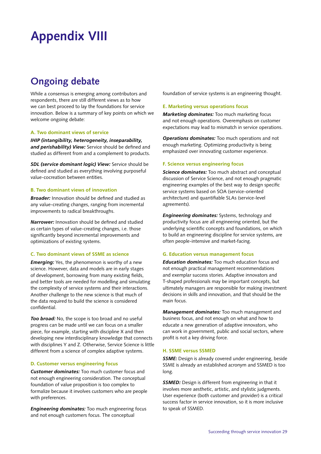# **Appendix VIII**

# **Ongoing debate**

While a consensus is emerging among contributors and respondents, there are still different views as to how we can best proceed to lay the foundations for service innovation. Below is a summary of key points on which we welcome ongoing debate:

### **A. Two dominant views of service**

*IHIP (intangibility, heterogeneity, inseparability, and perishability) View:* Service should be defined and studied as different from and a complement to products.

*SDL (service dominant logic) View:* Service should be defined and studied as everything involving purposeful value-cocreation between entities.

#### **B. Two dominant views of innovation**

*Broader:* Innovation should be defined and studied as any value-creating changes, ranging from incremental improvements to radical breakthroughs.

*Narrower:* Innovation should be defined and studied as certain types of value-creating changes, i.e. those significantly beyond incremental improvements and optimizations of existing systems.

### **C. Two dominant views of SSME as science**

*Emerging:* Yes, the phenomenon is worthy of a new science. However, data and models are in early stages of development, borrowing from many existing fields, and better tools are needed for modelling and simulating the complexity of service systems and their interactions. Another challenge to the new science is that much of the data required to build the science is considered confidential.

*Too broad:* No, the scope is too broad and no useful progress can be made until we can focus on a smaller piece, for example, starting with discipline X and then developing new interdisciplinary knowledge that connects with disciplines Y and Z. Otherwise, Service Science is little different from a science of complex adaptive systems.

#### **D. Customer versus engineering focus**

*Customer dominates:* Too much customer focus and not enough engineering consideration. The conceptual foundation of value proposition is too complex to formalize because it involves customers who are people with preferences.

*Engineering dominates:* Too much engineering focus and not enough customers focus. The conceptual

foundation of service systems is an engineering thought.

### **E. Marketing versus operations focus**

*Marketing dominates:* Too much marketing focus and not enough operations. Overemphasis on customer expectations may lead to mismatch in service operations.

*Operations dominates:* Too much operations and not enough marketing. Optimizing productivity is being emphasized over innovating customer experience.

#### **F. Science versus engineering focus**

*Science dominates:* Too much abstract and conceptual discussion of Service Science, and not enough pragmatic engineering examples of the best way to design specific service systems based on SOA (service-oriented architecture) and quantifiable SLAs (service-level agreements).

*Engineering dominates:* Systems, technology and productivity focus are all engineering oriented, but the underlying scientific concepts and foundations, on which to build an engineering discipline for service systems, are often people-intensive and market-facing.

#### **G. Education versus management focus**

*Education dominates:* Too much education focus and not enough practical management recommendations and exemplar success stories. Adaptive innovators and T-shaped professionals may be important concepts, but ultimately managers are responsible for making investment decisions in skills and innovation, and that should be the main focus.

*Management dominates:* Too much management and business focus, and not enough on what and how to educate a new generation of adaptive innovators, who can work in government, public and social sectors, where profit is not a key driving force.

#### **H. SSME versus SSMED**

*SSME:* Design is already covered under engineering, beside SSME is already an established acronym and SSMED is too long.

**SSMED:** Design is different from engineering in that it involves more aesthetic, artistic, and stylistic judgments. User experience (both customer and provider) is a critical success factor in service innovation, so it is more inclusive to speak of SSMED.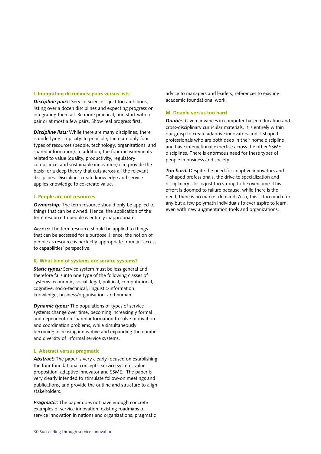#### **I. Integrating disciplines: pairs versus lists**

*Discipline pairs:* Service Science is just too ambitious, listing over a dozen disciplines and expecting progress on integrating them all. Be more practical, and start with a pair or at most a few pairs. Show real progress first.

*Discipline lists:* While there are many disciplines, there is underlying simplicity. In principle, there are only four types of resources (people, technology, organisations, and shared information). In addition, the four measurements related to value (quality, productivity, regulatory compliance, and sustainable innovation) can provide the basis for a deep theory that cuts across all the relevant disciplines. Disciplines create knowledge and service applies knowledge to co-create value.

#### **J. People are not resources**

**Ownership:** The term resource should only be applied to things that can be owned. Hence, the application of the term resource to people is entirely inappropriate.

*Access:* The term resource should be applied to things that can be accessed for a purpose. Hence, the notion of people as resource is perfectly appropriate from an 'access to capabilities' perspective.

#### **K. What kind of systems are service systems?**

*Static types:* Service system must be less general and therefore falls into one type of the following classes of systems: economic, social, legal, political, computational, cognitive, socio-technical, linguistic-information, knowledge, business/organisation, and human.

*Dynamic types:* The populations of types of service systems change over time, becoming increasingly formal and dependent on shared information to solve motivation and coordination problems, while simultaneously becoming increasing innovative and expanding the number and diversity of informal service systems.

#### **L. Abstract versus pragmatic**

*Abstract:* The paper is very clearly focused on establishing the four foundational concepts: service system, value proposition, adaptive innovator and SSME. The paper is very clearly intended to stimulate follow-on meetings and publications, and provide the outline and structure to align stakeholders.

*Pragmatic:* The paper does not have enough concrete examples of service innovation, existing roadmaps of service innovation in nations and organizations, pragmatic advice to managers and leaders, references to existing academic foundational work.

#### **M. Doable versus too hard**

*Doable:* Given advances in computer-based education and cross-disciplinary curricular materials, it is entirely within our grasp to create adaptive innovators and T-shaped professionals who are both deep in their home discipline and have interactional expertise across the other SSME disciplines. There is enormous need for these types of people in business and society

*Too hard:* Despite the need for adaptive innovators and T-shaped professionals, the drive to specialization and disciplinary silos is just too strong to be overcome. This effort is doomed to failure because, while there is the need, there is no market demand. Also, this is too much for any but a few polymath individuals to ever aspire to learn, even with new augmentation tools and organizations.